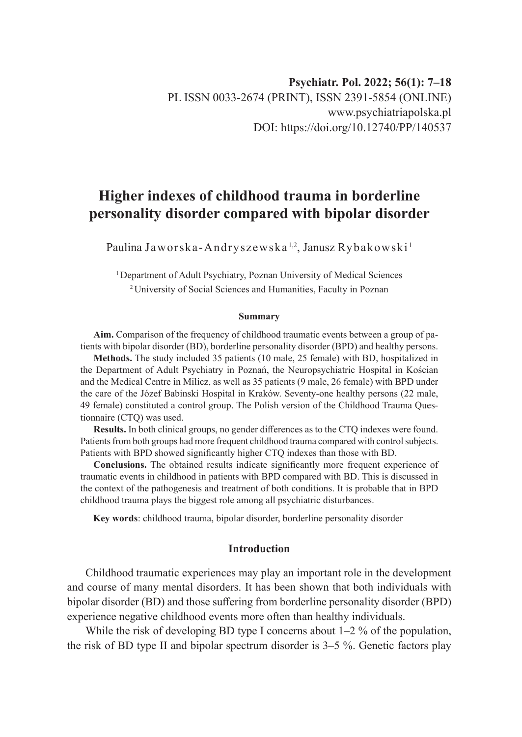# **Higher indexes of childhood trauma in borderline personality disorder compared with bipolar disorder**

Paulina Jaworska-Andryszewska<sup>1,2</sup>, Janusz Rybakowski<sup>1</sup>

<sup>1</sup> Department of Adult Psychiatry, Poznan University of Medical Sciences 2 University of Social Sciences and Humanities, Faculty in Poznan

#### **Summary**

**Aim.** Comparison of the frequency of childhood traumatic events between a group of patients with bipolar disorder (BD), borderline personality disorder (BPD) and healthy persons.

**Methods.** The study included 35 patients (10 male, 25 female) with BD, hospitalized in the Department of Adult Psychiatry in Poznań, the Neuropsychiatric Hospital in Kościan and the Medical Centre in Milicz, as well as 35 patients (9 male, 26 female) with BPD under the care of the Józef Babinski Hospital in Kraków. Seventy-one healthy persons (22 male, 49 female) constituted a control group. The Polish version of the Childhood Trauma Questionnaire (CTQ) was used.

**Results.** In both clinical groups, no gender differences as to the CTQ indexes were found. Patients from both groups had more frequent childhood trauma compared with control subjects. Patients with BPD showed significantly higher CTQ indexes than those with BD.

**Conclusions.** The obtained results indicate significantly more frequent experience of traumatic events in childhood in patients with BPD compared with BD. This is discussed in the context of the pathogenesis and treatment of both conditions. It is probable that in BPD childhood trauma plays the biggest role among all psychiatric disturbances.

**Key words**: childhood trauma, bipolar disorder, borderline personality disorder

## **Introduction**

Childhood traumatic experiences may play an important role in the development and course of many mental disorders. It has been shown that both individuals with bipolar disorder (BD) and those suffering from borderline personality disorder (BPD) experience negative childhood events more often than healthy individuals.

While the risk of developing BD type I concerns about  $1-2$  % of the population, the risk of BD type II and bipolar spectrum disorder is 3–5 %. Genetic factors play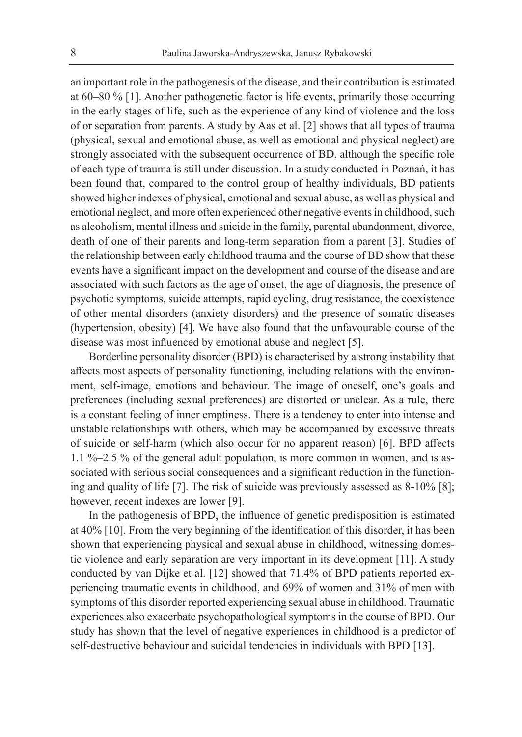an important role in the pathogenesis of the disease, and their contribution is estimated at 60–80 % [1]. Another pathogenetic factor is life events, primarily those occurring in the early stages of life, such as the experience of any kind of violence and the loss of or separation from parents. A study by Aas et al. [2] shows that all types of trauma (physical, sexual and emotional abuse, as well as emotional and physical neglect) are strongly associated with the subsequent occurrence of BD, although the specific role of each type of trauma is still under discussion. In a study conducted in Poznań, it has been found that, compared to the control group of healthy individuals, BD patients showed higher indexes of physical, emotional and sexual abuse, as well as physical and emotional neglect, and more often experienced other negative events in childhood, such as alcoholism, mental illness and suicide in the family, parental abandonment, divorce, death of one of their parents and long-term separation from a parent [3]. Studies of the relationship between early childhood trauma and the course of BD show that these events have a significant impact on the development and course of the disease and are associated with such factors as the age of onset, the age of diagnosis, the presence of psychotic symptoms, suicide attempts, rapid cycling, drug resistance, the coexistence of other mental disorders (anxiety disorders) and the presence of somatic diseases (hypertension, obesity) [4]. We have also found that the unfavourable course of the disease was most influenced by emotional abuse and neglect [5].

Borderline personality disorder (BPD) is characterised by a strong instability that affects most aspects of personality functioning, including relations with the environment, self-image, emotions and behaviour. The image of oneself, one's goals and preferences (including sexual preferences) are distorted or unclear. As a rule, there is a constant feeling of inner emptiness. There is a tendency to enter into intense and unstable relationships with others, which may be accompanied by excessive threats of suicide or self-harm (which also occur for no apparent reason) [6]. BPD affects 1.1 %–2.5 % of the general adult population, is more common in women, and is associated with serious social consequences and a significant reduction in the functioning and quality of life [7]. The risk of suicide was previously assessed as 8-10% [8]; however, recent indexes are lower [9].

In the pathogenesis of BPD, the influence of genetic predisposition is estimated at 40% [10]. From the very beginning of the identification of this disorder, it has been shown that experiencing physical and sexual abuse in childhood, witnessing domestic violence and early separation are very important in its development [11]. A study conducted by van Dijke et al. [12] showed that 71.4% of BPD patients reported experiencing traumatic events in childhood, and 69% of women and 31% of men with symptoms of this disorder reported experiencing sexual abuse in childhood. Traumatic experiences also exacerbate psychopathological symptoms in the course of BPD. Our study has shown that the level of negative experiences in childhood is a predictor of self-destructive behaviour and suicidal tendencies in individuals with BPD [13].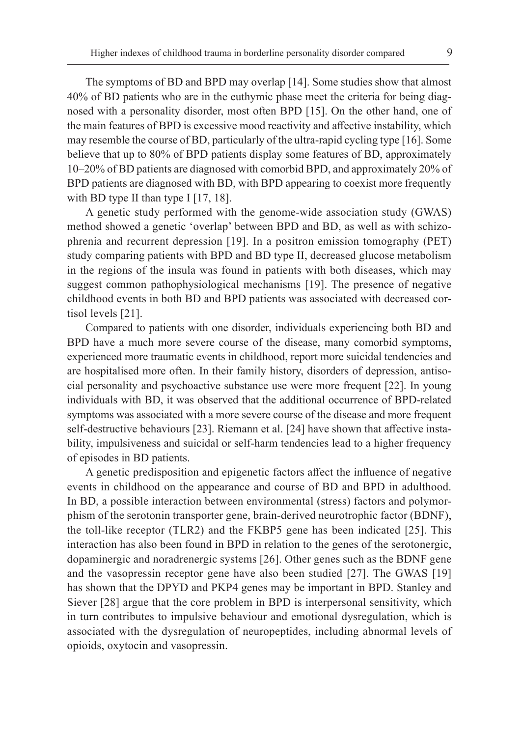The symptoms of BD and BPD may overlap [14]. Some studies show that almost 40% of BD patients who are in the euthymic phase meet the criteria for being diagnosed with a personality disorder, most often BPD [15]. On the other hand, one of the main features of BPD is excessive mood reactivity and affective instability, which may resemble the course of BD, particularly of the ultra-rapid cycling type [16]. Some believe that up to 80% of BPD patients display some features of BD, approximately 10–20% of BD patients are diagnosed with comorbid BPD, and approximately 20% of BPD patients are diagnosed with BD, with BPD appearing to coexist more frequently with BD type II than type I  $[17, 18]$ .

A genetic study performed with the genome-wide association study (GWAS) method showed a genetic 'overlap' between BPD and BD, as well as with schizophrenia and recurrent depression [19]. In a positron emission tomography (PET) study comparing patients with BPD and BD type II, decreased glucose metabolism in the regions of the insula was found in patients with both diseases, which may suggest common pathophysiological mechanisms [19]. The presence of negative childhood events in both BD and BPD patients was associated with decreased cortisol levels [21].

Compared to patients with one disorder, individuals experiencing both BD and BPD have a much more severe course of the disease, many comorbid symptoms, experienced more traumatic events in childhood, report more suicidal tendencies and are hospitalised more often. In their family history, disorders of depression, antisocial personality and psychoactive substance use were more frequent [22]. In young individuals with BD, it was observed that the additional occurrence of BPD-related symptoms was associated with a more severe course of the disease and more frequent self-destructive behaviours [23]. Riemann et al. [24] have shown that affective instability, impulsiveness and suicidal or self-harm tendencies lead to a higher frequency of episodes in BD patients.

A genetic predisposition and epigenetic factors affect the influence of negative events in childhood on the appearance and course of BD and BPD in adulthood. In BD, a possible interaction between environmental (stress) factors and polymorphism of the serotonin transporter gene, brain-derived neurotrophic factor (BDNF), the toll-like receptor (TLR2) and the FKBP5 gene has been indicated [25]. This interaction has also been found in BPD in relation to the genes of the serotonergic, dopaminergic and noradrenergic systems [26]. Other genes such as the BDNF gene and the vasopressin receptor gene have also been studied [27]. The GWAS [19] has shown that the DPYD and PKP4 genes may be important in BPD. Stanley and Siever [28] argue that the core problem in BPD is interpersonal sensitivity, which in turn contributes to impulsive behaviour and emotional dysregulation, which is associated with the dysregulation of neuropeptides, including abnormal levels of opioids, oxytocin and vasopressin.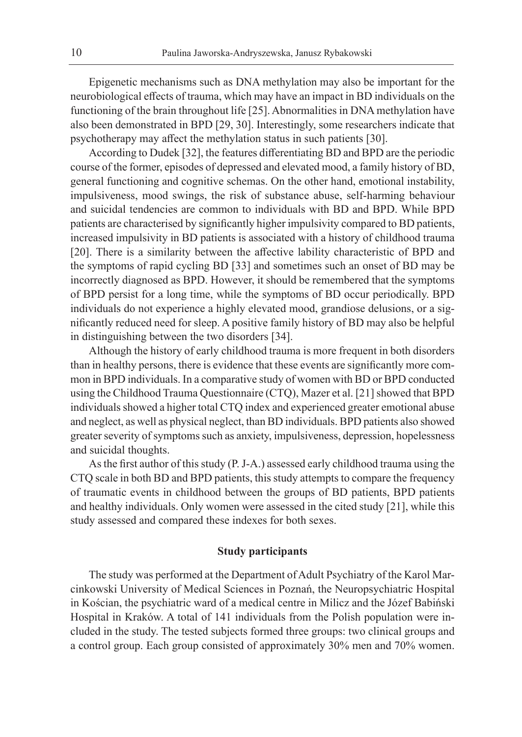Epigenetic mechanisms such as DNA methylation may also be important for the neurobiological effects of trauma, which may have an impact in BD individuals on the functioning of the brain throughout life [25]. Abnormalities in DNA methylation have also been demonstrated in BPD [29, 30]. Interestingly, some researchers indicate that psychotherapy may affect the methylation status in such patients [30].

According to Dudek [32], the features differentiating BD and BPD are the periodic course of the former, episodes of depressed and elevated mood, a family history of BD, general functioning and cognitive schemas. On the other hand, emotional instability, impulsiveness, mood swings, the risk of substance abuse, self-harming behaviour and suicidal tendencies are common to individuals with BD and BPD. While BPD patients are characterised by significantly higher impulsivity compared to BD patients, increased impulsivity in BD patients is associated with a history of childhood trauma [20]. There is a similarity between the affective lability characteristic of BPD and the symptoms of rapid cycling BD [33] and sometimes such an onset of BD may be incorrectly diagnosed as BPD. However, it should be remembered that the symptoms of BPD persist for a long time, while the symptoms of BD occur periodically. BPD individuals do not experience a highly elevated mood, grandiose delusions, or a significantly reduced need for sleep. A positive family history of BD may also be helpful in distinguishing between the two disorders [34].

Although the history of early childhood trauma is more frequent in both disorders than in healthy persons, there is evidence that these events are significantly more common in BPD individuals. In a comparative study of women with BD or BPD conducted using the Childhood Trauma Questionnaire (CTQ), Mazer et al. [21] showed that BPD individuals showed a higher total CTQ index and experienced greater emotional abuse and neglect, as well as physical neglect, than BD individuals. BPD patients also showed greater severity of symptoms such as anxiety, impulsiveness, depression, hopelessness and suicidal thoughts.

As the first author of this study (P. J-A.) assessed early childhood trauma using the CTQ scale in both BD and BPD patients, this study attempts to compare the frequency of traumatic events in childhood between the groups of BD patients, BPD patients and healthy individuals. Only women were assessed in the cited study [21], while this study assessed and compared these indexes for both sexes.

# **Study participants**

The study was performed at the Department of Adult Psychiatry of the Karol Marcinkowski University of Medical Sciences in Poznań, the Neuropsychiatric Hospital in Kościan, the psychiatric ward of a medical centre in Milicz and the Józef Babiński Hospital in Kraków. A total of 141 individuals from the Polish population were included in the study. The tested subjects formed three groups: two clinical groups and a control group. Each group consisted of approximately 30% men and 70% women.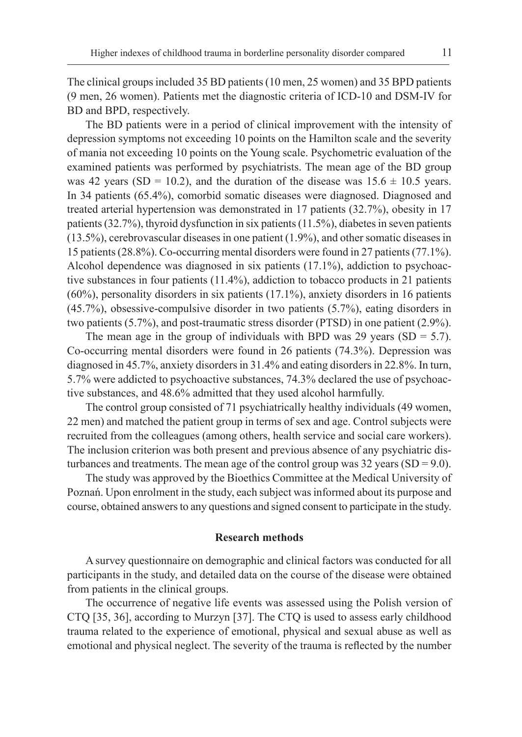The clinical groups included 35 BD patients (10 men, 25 women) and 35 BPD patients (9 men, 26 women). Patients met the diagnostic criteria of ICD-10 and DSM-IV for BD and BPD, respectively.

The BD patients were in a period of clinical improvement with the intensity of depression symptoms not exceeding 10 points on the Hamilton scale and the severity of mania not exceeding 10 points on the Young scale. Psychometric evaluation of the examined patients was performed by psychiatrists. The mean age of the BD group was 42 years (SD = 10.2), and the duration of the disease was  $15.6 \pm 10.5$  years. In 34 patients (65.4%), comorbid somatic diseases were diagnosed. Diagnosed and treated arterial hypertension was demonstrated in 17 patients (32.7%), obesity in 17 patients (32.7%), thyroid dysfunction in six patients (11.5%), diabetes in seven patients (13.5%), cerebrovascular diseases in one patient (1.9%), and other somatic diseases in 15 patients (28.8%). Co-occurring mental disorders were found in 27 patients (77.1%). Alcohol dependence was diagnosed in six patients (17.1%), addiction to psychoactive substances in four patients (11.4%), addiction to tobacco products in 21 patients (60%), personality disorders in six patients (17.1%), anxiety disorders in 16 patients (45.7%), obsessive-compulsive disorder in two patients (5.7%), eating disorders in two patients (5.7%), and post-traumatic stress disorder (PTSD) in one patient (2.9%).

The mean age in the group of individuals with BPD was 29 years  $(SD = 5.7)$ . Co-occurring mental disorders were found in 26 patients (74.3%). Depression was diagnosed in 45.7%, anxiety disorders in 31.4% and eating disorders in 22.8%. In turn, 5.7% were addicted to psychoactive substances, 74.3% declared the use of psychoactive substances, and 48.6% admitted that they used alcohol harmfully.

The control group consisted of 71 psychiatrically healthy individuals (49 women, 22 men) and matched the patient group in terms of sex and age. Control subjects were recruited from the colleagues (among others, health service and social care workers). The inclusion criterion was both present and previous absence of any psychiatric disturbances and treatments. The mean age of the control group was  $32$  years (SD = 9.0).

The study was approved by the Bioethics Committee at the Medical University of Poznań. Upon enrolment in the study, each subject was informed about its purpose and course, obtained answers to any questions and signed consent to participate in the study.

#### **Research methods**

A survey questionnaire on demographic and clinical factors was conducted for all participants in the study, and detailed data on the course of the disease were obtained from patients in the clinical groups.

The occurrence of negative life events was assessed using the Polish version of CTQ [35, 36], according to Murzyn [37]. The CTQ is used to assess early childhood trauma related to the experience of emotional, physical and sexual abuse as well as emotional and physical neglect. The severity of the trauma is reflected by the number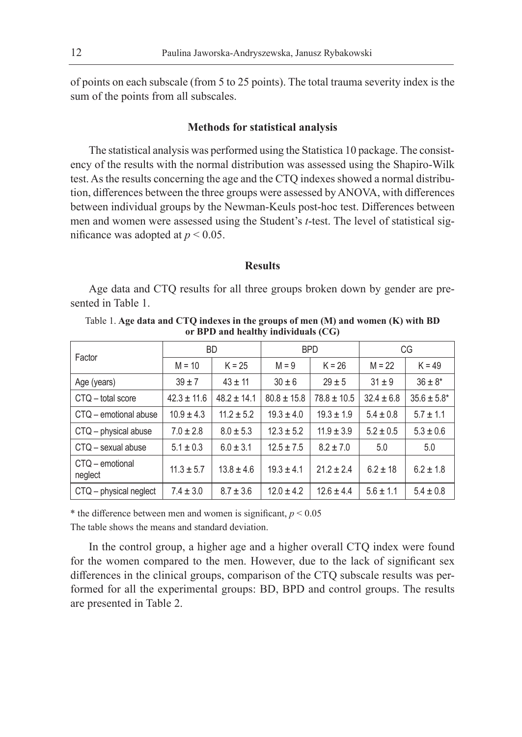of points on each subscale (from 5 to 25 points). The total trauma severity index is the sum of the points from all subscales.

# **Methods for statistical analysis**

The statistical analysis was performed using the Statistica 10 package. The consistency of the results with the normal distribution was assessed using the Shapiro-Wilk test. As the results concerning the age and the CTQ indexes showed a normal distribution, differences between the three groups were assessed by ANOVA, with differences between individual groups by the Newman-Keuls post-hoc test. Differences between men and women were assessed using the Student's *t*-test. The level of statistical significance was adopted at  $p < 0.05$ .

## **Results**

Age data and CTQ results for all three groups broken down by gender are presented in Table 1.

Table 1. **Age data and CTQ indexes in the groups of men (M) and women (K) with BD or BPD and healthy individuals (CG)**

| Factor                     | <b>BD</b>       |                 |                 | <b>BPD</b>      | CG             |                  |
|----------------------------|-----------------|-----------------|-----------------|-----------------|----------------|------------------|
|                            | $M = 10$        | $K = 25$        | $M = 9$         | $K = 26$        | $M = 22$       | $K = 49$         |
| Age (years)                | $39 \pm 7$      | $43 \pm 11$     | $30 \pm 6$      | $29 \pm 5$      | $31 \pm 9$     | $36 \pm 8^*$     |
| CTQ - total score          | $42.3 \pm 11.6$ | $48.2 \pm 14.1$ | $80.8 \pm 15.8$ | $78.8 \pm 10.5$ | $32.4 \pm 6.8$ | $35.6 \pm 5.8^*$ |
| CTQ - emotional abuse      | $10.9 \pm 4.3$  | $11.2 \pm 5.2$  | $19.3 \pm 4.0$  | $19.3 \pm 1.9$  | $5.4 \pm 0.8$  | $5.7 \pm 1.1$    |
| CTQ - physical abuse       | $7.0 \pm 2.8$   | $8.0 \pm 5.3$   | $12.3 \pm 5.2$  | $11.9 \pm 3.9$  | $5.2 \pm 0.5$  | $5.3 \pm 0.6$    |
| CTQ - sexual abuse         | $5.1 \pm 0.3$   | $6.0 \pm 3.1$   | $12.5 \pm 7.5$  | $8.2 \pm 7.0$   | 5.0            | 5.0              |
| CTO - emotional<br>neglect | $11.3 \pm 5.7$  | $13.8 \pm 4.6$  | $19.3 \pm 4.1$  | $21.2 \pm 2.4$  | $6.2 \pm 18$   | $6.2 \pm 1.8$    |
| CTQ - physical neglect     | $7.4 \pm 3.0$   | $8.7 \pm 3.6$   | $12.0 \pm 4.2$  | $12.6 \pm 4.4$  | $5.6 \pm 1.1$  | $5.4 \pm 0.8$    |

\* the difference between men and women is significant,  $p < 0.05$ 

The table shows the means and standard deviation.

In the control group, a higher age and a higher overall CTQ index were found for the women compared to the men. However, due to the lack of significant sex differences in the clinical groups, comparison of the CTQ subscale results was performed for all the experimental groups: BD, BPD and control groups. The results are presented in Table 2.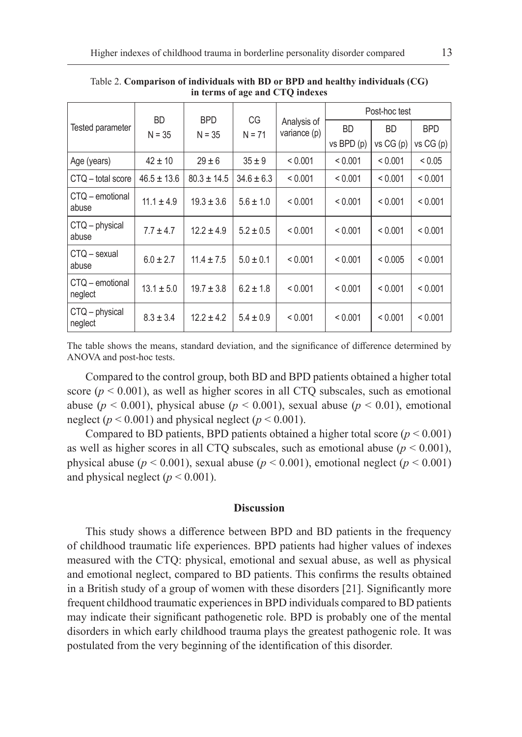| Tested parameter           |                 | <b>BPD</b><br>$N = 35$ | CG<br>$N = 71$ | Analysis of<br>variance (p) | Post-hoc test |           |            |
|----------------------------|-----------------|------------------------|----------------|-----------------------------|---------------|-----------|------------|
|                            | BD.<br>$N = 35$ |                        |                |                             | <b>BD</b>     | <b>BD</b> | <b>BPD</b> |
|                            |                 |                        |                |                             | vs BPD (p)    | vs CG (p) | vs CG(p)   |
| Age (years)                | $42 \pm 10$     | $29 \pm 6$             | $35 \pm 9$     | < 0.001                     | < 0.001       | < 0.001   | < 0.05     |
| CTQ - total score          | $46.5 \pm 13.6$ | $80.3 \pm 14.5$        | $34.6 \pm 6.3$ | < 0.001                     | < 0.001       | < 0.001   | < 0.001    |
| CTQ – emotional<br>abuse   | $11.1 \pm 4.9$  | $19.3 \pm 3.6$         | $5.6 \pm 1.0$  | < 0.001                     | < 0.001       | < 0.001   | < 0.001    |
| CTQ - physical<br>abuse    | $7.7 \pm 4.7$   | $12.2 \pm 4.9$         | $5.2 \pm 0.5$  | < 0.001                     | < 0.001       | < 0.001   | < 0.001    |
| CTQ - sexual<br>abuse      | $6.0 \pm 2.7$   | $11.4 \pm 7.5$         | $5.0 \pm 0.1$  | < 0.001                     | < 0.001       | < 0.005   | < 0.001    |
| CTQ – emotional<br>neglect | $13.1 \pm 5.0$  | $19.7 \pm 3.8$         | $6.2 \pm 1.8$  | < 0.001                     | < 0.001       | < 0.001   | < 0.001    |
| CTQ - physical<br>neglect  | $8.3 \pm 3.4$   | $12.2 \pm 4.2$         | $5.4 \pm 0.9$  | < 0.001                     | < 0.001       | < 0.001   | < 0.001    |

Table 2. **Comparison of individuals with BD or BPD and healthy individuals (CG) in terms of age and CTQ indexes**

The table shows the means, standard deviation, and the significance of difference determined by ANOVA and post-hoc tests.

Compared to the control group, both BD and BPD patients obtained a higher total score  $(p < 0.001)$ , as well as higher scores in all CTQ subscales, such as emotional abuse ( $p < 0.001$ ), physical abuse ( $p < 0.001$ ), sexual abuse ( $p < 0.01$ ), emotional neglect  $(p < 0.001)$  and physical neglect  $(p < 0.001)$ .

Compared to BD patients, BPD patients obtained a higher total score  $(p < 0.001)$ as well as higher scores in all CTQ subscales, such as emotional abuse  $(p < 0.001)$ , physical abuse ( $p < 0.001$ ), sexual abuse ( $p < 0.001$ ), emotional neglect ( $p < 0.001$ ) and physical neglect  $(p < 0.001)$ .

#### **Discussion**

This study shows a difference between BPD and BD patients in the frequency of childhood traumatic life experiences. BPD patients had higher values of indexes measured with the CTQ: physical, emotional and sexual abuse, as well as physical and emotional neglect, compared to BD patients. This confirms the results obtained in a British study of a group of women with these disorders [21]. Significantly more frequent childhood traumatic experiences in BPD individuals compared to BD patients may indicate their significant pathogenetic role. BPD is probably one of the mental disorders in which early childhood trauma plays the greatest pathogenic role. It was postulated from the very beginning of the identification of this disorder.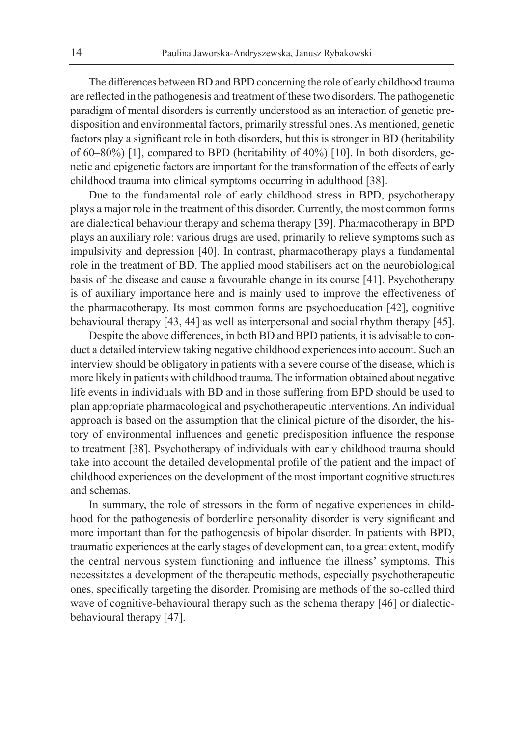The differences between BD and BPD concerning the role of early childhood trauma are reflected in the pathogenesis and treatment of these two disorders. The pathogenetic paradigm of mental disorders is currently understood as an interaction of genetic predisposition and environmental factors, primarily stressful ones. As mentioned, genetic factors play a significant role in both disorders, but this is stronger in BD (heritability of 60–80%) [1], compared to BPD (heritability of 40%) [10]. In both disorders, genetic and epigenetic factors are important for the transformation of the effects of early childhood trauma into clinical symptoms occurring in adulthood [38].

Due to the fundamental role of early childhood stress in BPD, psychotherapy plays a major role in the treatment of this disorder. Currently, the most common forms are dialectical behaviour therapy and schema therapy [39]. Pharmacotherapy in BPD plays an auxiliary role: various drugs are used, primarily to relieve symptoms such as impulsivity and depression [40]. In contrast, pharmacotherapy plays a fundamental role in the treatment of BD. The applied mood stabilisers act on the neurobiological basis of the disease and cause a favourable change in its course [41]. Psychotherapy is of auxiliary importance here and is mainly used to improve the effectiveness of the pharmacotherapy. Its most common forms are psychoeducation [42], cognitive behavioural therapy [43, 44] as well as interpersonal and social rhythm therapy [45].

Despite the above differences, in both BD and BPD patients, it is advisable to conduct a detailed interview taking negative childhood experiences into account. Such an interview should be obligatory in patients with a severe course of the disease, which is more likely in patients with childhood trauma. The information obtained about negative life events in individuals with BD and in those suffering from BPD should be used to plan appropriate pharmacological and psychotherapeutic interventions. An individual approach is based on the assumption that the clinical picture of the disorder, the history of environmental influences and genetic predisposition influence the response to treatment [38]. Psychotherapy of individuals with early childhood trauma should take into account the detailed developmental profile of the patient and the impact of childhood experiences on the development of the most important cognitive structures and schemas.

In summary, the role of stressors in the form of negative experiences in childhood for the pathogenesis of borderline personality disorder is very significant and more important than for the pathogenesis of bipolar disorder. In patients with BPD, traumatic experiences at the early stages of development can, to a great extent, modify the central nervous system functioning and influence the illness' symptoms. This necessitates a development of the therapeutic methods, especially psychotherapeutic ones, specifically targeting the disorder. Promising are methods of the so-called third wave of cognitive-behavioural therapy such as the schema therapy [46] or dialecticbehavioural therapy [47].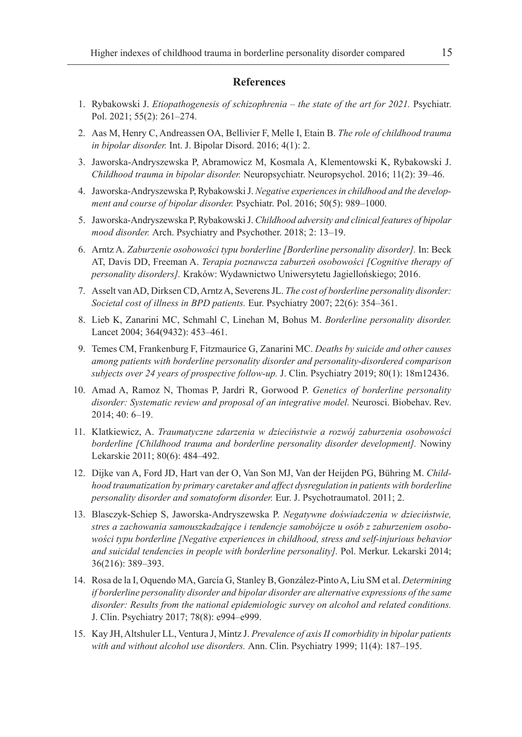### **References**

- 1. Rybakowski J. *Etiopathogenesis of schizophrenia the state of the art for 2021.* Psychiatr. Pol. 2021; 55(2): 261–274.
- 2. Aas M, Henry C, Andreassen OA, Bellivier F, Melle I, Etain B. *The role of childhood trauma in bipolar disorder.* Int. J. Bipolar Disord. 2016; 4(1): 2.
- 3. Jaworska-Andryszewska P, Abramowicz M, Kosmala A, Klementowski K, Rybakowski J. *Childhood trauma in bipolar disorder.* Neuropsychiatr. Neuropsychol. 2016; 11(2): 39–46.
- 4. Jaworska-Andryszewska P, Rybakowski J. *Negative experiences in childhood and the development and course of bipolar disorder.* Psychiatr. Pol. 2016; 50(5): 989–1000.
- 5. Jaworska-Andryszewska P, Rybakowski J. *Childhood adversity and clinical features of bipolar mood disorder.* Arch. Psychiatry and Psychother. 2018; 2: 13–19.
- 6. Arntz A. *Zaburzenie osobowości typu borderline [Borderline personality disorder].* In: Beck AT, Davis DD, Freeman A. *Terapia poznawcza zaburzeń osobowości [Cognitive therapy of personality disorders].* Kraków: Wydawnictwo Uniwersytetu Jagiellońskiego; 2016.
- 7. Asselt van AD, Dirksen CD, Arntz A, Severens JL. *The cost of borderline personality disorder: Societal cost of illness in BPD patients.* Eur. Psychiatry 2007; 22(6): 354–361.
- 8. Lieb K, Zanarini MC, Schmahl C, Linehan M, Bohus M. *Borderline personality disorder.*  Lancet 2004; 364(9432): 453–461.
- 9. Temes CM, Frankenburg F, Fitzmaurice G, Zanarini MC. *Deaths by suicide and other causes among patients with borderline personality disorder and personality-disordered comparison subjects over 24 years of prospective follow-up.* J. Clin. Psychiatry 2019; 80(1): 18m12436.
- 10. Amad A, Ramoz N, Thomas P, Jardri R, Gorwood P. *Genetics of borderline personality disorder: Systematic review and proposal of an integrative model.* Neurosci. Biobehav. Rev. 2014; 40: 6–19.
- 11. Klatkiewicz, A. *Traumatyczne zdarzenia w dzieciństwie a rozwój zaburzenia osobowości borderline [Childhood trauma and borderline personality disorder development].* Nowiny Lekarskie 2011; 80(6): 484–492.
- 12. Dijke van A, Ford JD, Hart van der O, Van Son MJ, Van der Heijden PG, Bühring M. *Childhood traumatization by primary caretaker and affect dysregulation in patients with borderline personality disorder and somatoform disorder.* Eur. J. Psychotraumatol. 2011; 2.
- 13. Blasczyk-Schiep S, Jaworska-Andryszewska P. *Negatywne doświadczenia w dzieciństwie, stres a zachowania samouszkadzające i tendencje samobójcze u osób z zaburzeniem osobowości typu borderline [Negative experiences in childhood, stress and self-injurious behavior and suicidal tendencies in people with borderline personality].* Pol. Merkur. Lekarski 2014; 36(216): 389–393.
- 14. Rosa de la I, Oquendo MA, García G, Stanley B, González-Pinto A, Liu SM et al. *Determining if borderline personality disorder and bipolar disorder are alternative expressions of the same disorder: Results from the national epidemiologic survey on alcohol and related conditions.* J. Clin. Psychiatry 2017; 78(8): e994–e999.
- 15. Kay JH, Altshuler LL, Ventura J, Mintz J. *Prevalence of axis II comorbidity in bipolar patients with and without alcohol use disorders.* Ann. Clin. Psychiatry 1999; 11(4): 187–195.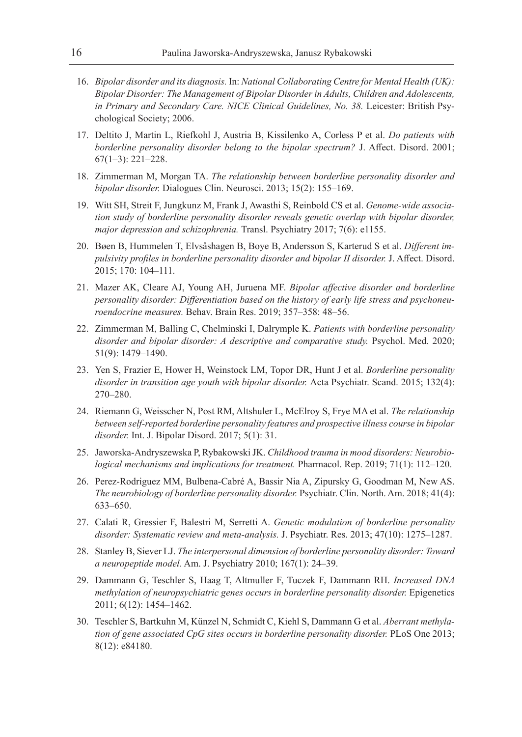- 16. *Bipolar disorder and its diagnosis.* In: *National Collaborating Centre for Mental Health (UK): Bipolar Disorder: The Management of Bipolar Disorder in Adults, Children and Adolescents, in Primary and Secondary Care. NICE Clinical Guidelines, No. 38.* Leicester: British Psychological Society; 2006.
- 17. Deltito J, Martin L, Riefkohl J, Austria B, Kissilenko A, Corless P et al. *Do patients with borderline personality disorder belong to the bipolar spectrum?* J. Affect. Disord. 2001; 67(1–3): 221–228.
- 18. Zimmerman M, Morgan TA. *The relationship between borderline personality disorder and bipolar disorder.* Dialogues Clin. Neurosci. 2013; 15(2): 155–169.
- 19. Witt SH, Streit F, Jungkunz M, Frank J, Awasthi S, Reinbold CS et al. *Genome-wide association study of borderline personality disorder reveals genetic overlap with bipolar disorder, major depression and schizophrenia.* Transl. Psychiatry 2017; 7(6): e1155.
- 20. Bøen B, Hummelen T, Elvsåshagen B, Boye B, Andersson S, Karterud S et al. *Different impulsivity profiles in borderline personality disorder and bipolar II disorder.* J. Affect. Disord. 2015; 170: 104–111.
- 21. Mazer AK, Cleare AJ, Young AH, Juruena MF. *Bipolar affective disorder and borderline personality disorder: Differentiation based on the history of early life stress and psychoneuroendocrine measures.* Behav. Brain Res. 2019; 357–358: 48–56.
- 22. Zimmerman M, Balling C, Chelminski I, Dalrymple K. *Patients with borderline personality disorder and bipolar disorder: A descriptive and comparative study.* Psychol. Med. 2020; 51(9): 1479–1490.
- 23. Yen S, Frazier E, Hower H, Weinstock LM, Topor DR, Hunt J et al. *Borderline personality disorder in transition age youth with bipolar disorder.* Acta Psychiatr. Scand. 2015; 132(4): 270–280.
- 24. Riemann G, Weisscher N, Post RM, Altshuler L, McElroy S, Frye MA et al. *The relationship between self-reported borderline personality features and prospective illness course in bipolar disorder.* Int. J. Bipolar Disord. 2017; 5(1): 31.
- 25. Jaworska-Andryszewska P, Rybakowski JK. *Childhood trauma in mood disorders: Neurobiological mechanisms and implications for treatment.* Pharmacol. Rep. 2019; 71(1): 112–120.
- 26. Perez-Rodriguez MM, Bulbena-Cabré A, Bassir Nia A, Zipursky G, Goodman M, New AS. *The neurobiology of borderline personality disorder.* Psychiatr. Clin. North. Am. 2018; 41(4): 633–650.
- 27. Calati R, Gressier F, Balestri M, Serretti A. *Genetic modulation of borderline personality disorder: Systematic review and meta-analysis.* J. Psychiatr. Res. 2013; 47(10): 1275–1287.
- 28. Stanley B, Siever LJ. *The interpersonal dimension of borderline personality disorder: Toward a neuropeptide model.* Am. J. Psychiatry 2010; 167(1): 24–39.
- 29. Dammann G, Teschler S, Haag T, Altmuller F, Tuczek F, Dammann RH. *Increased DNA methylation of neuropsychiatric genes occurs in borderline personality disorder.* Epigenetics 2011; 6(12): 1454–1462.
- 30. Teschler S, Bartkuhn M, Künzel N, Schmidt C, Kiehl S, Dammann G et al. *Aberrant methylation of gene associated CpG sites occurs in borderline personality disorder.* PLoS One 2013; 8(12): e84180.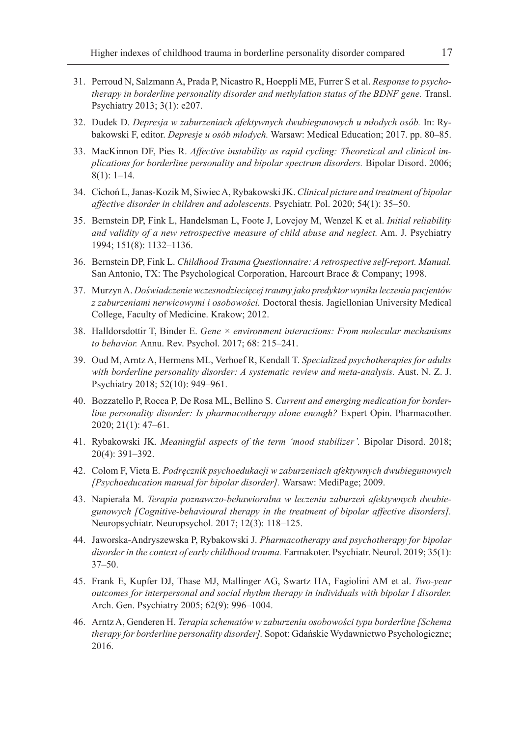- 31. Perroud N, Salzmann A, Prada P, Nicastro R, Hoeppli ME, Furrer S et al. *Response to psychotherapy in borderline personality disorder and methylation status of the BDNF gene.* Transl. Psychiatry 2013; 3(1): e207.
- 32. Dudek D. *Depresja w zaburzeniach afektywnych dwubiegunowych u młodych osób.* In: Rybakowski F, editor. *Depresje u osób młodych.* Warsaw: Medical Education; 2017. pp. 80–85.
- 33. MacKinnon DF, Pies R. *Affective instability as rapid cycling: Theoretical and clinical implications for borderline personality and bipolar spectrum disorders.* Bipolar Disord. 2006; 8(1): 1–14.
- 34. Cichoń L, Janas-Kozik M, Siwiec A, Rybakowski JK. *Clinical picture and treatment of bipolar affective disorder in children and adolescents.* Psychiatr. Pol. 2020; 54(1): 35–50.
- 35. Bernstein DP, Fink L, Handelsman L, Foote J, Lovejoy M, Wenzel K et al. *Initial reliability and validity of a new retrospective measure of child abuse and neglect.* Am. J. Psychiatry 1994; 151(8): 1132–1136.
- 36. Bernstein DP, Fink L. *Childhood Trauma Questionnaire: A retrospective self-report. Manual.*  San Antonio, TX: The Psychological Corporation, Harcourt Brace & Company; 1998.
- 37. Murzyn A. *Doświadczenie wczesnodziecięcej traumy jako predyktor wyniku leczenia pacjentów z zaburzeniami nerwicowymi i osobowości.* Doctoral thesis. Jagiellonian University Medical College, Faculty of Medicine. Krakow; 2012.
- 38. Halldorsdottir T, Binder E. *Gene × environment interactions: From molecular mechanisms to behavior.* Annu. Rev. Psychol. 2017; 68: 215–241.
- 39. Oud M, Arntz A, Hermens ML, Verhoef R, Kendall T. *Specialized psychotherapies for adults with borderline personality disorder: A systematic review and meta-analysis.* Aust. N. Z. J. Psychiatry 2018; 52(10): 949–961.
- 40. Bozzatello P, Rocca P, De Rosa ML, Bellino S. *Current and emerging medication for borderline personality disorder: Is pharmacotherapy alone enough?* Expert Opin. Pharmacother. 2020; 21(1): 47–61.
- 41. Rybakowski JK. *Meaningful aspects of the term 'mood stabilizer'.* Bipolar Disord. 2018; 20(4): 391–392.
- 42. Colom F, Vieta E. *Podręcznik psychoedukacji w zaburzeniach afektywnych dwubiegunowych [Psychoeducation manual for bipolar disorder].* Warsaw: MediPage; 2009.
- 43. Napierała M. *Terapia poznawczo-behawioralna w leczeniu zaburzeń afektywnych dwubiegunowych [Cognitive-behavioural therapy in the treatment of bipolar affective disorders].* Neuropsychiatr. Neuropsychol. 2017; 12(3): 118–125.
- 44. Jaworska-Andryszewska P, Rybakowski J. *Pharmacotherapy and psychotherapy for bipolar disorder in the context of early childhood trauma.* Farmakoter. Psychiatr. Neurol. 2019; 35(1): 37–50.
- 45. Frank E, Kupfer DJ, Thase MJ, Mallinger AG, Swartz HA, Fagiolini AM et al. *Two-year outcomes for interpersonal and social rhythm therapy in individuals with bipolar I disorder.* Arch. Gen. Psychiatry 2005; 62(9): 996–1004.
- 46. Arntz A, Genderen H. *Terapia schematów w zaburzeniu osobowości typu borderline [Schema therapy for borderline personality disorder].* Sopot: Gdańskie Wydawnictwo Psychologiczne; 2016.